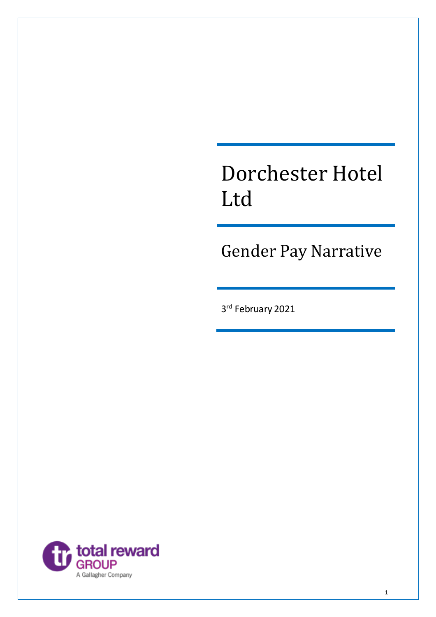# Dorchester Hotel Ltd

Gender Pay Narrative

3 rd February 2021

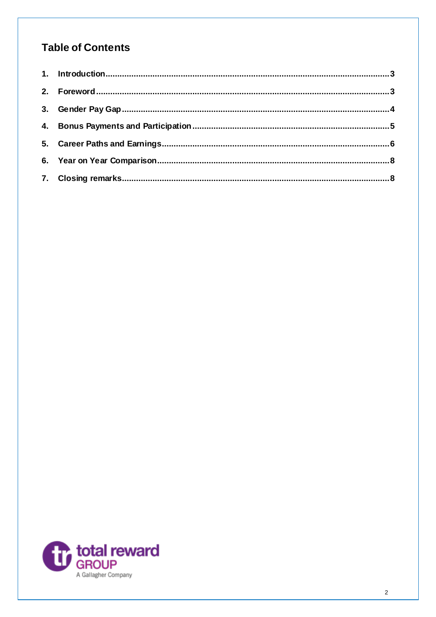# **Table of Contents**

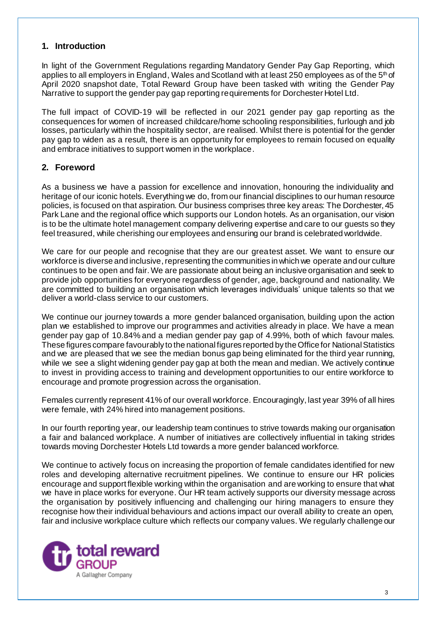### <span id="page-2-0"></span>**1. Introduction**

In light of the Government Regulations regarding Mandatory Gender Pay Gap Reporting, which applies to all employers in England, Wales and Scotland with at least 250 employees as of the  $5<sup>th</sup>$  of April 2020 snapshot date, Total Reward Group have been tasked with writing the Gender Pay Narrative to support the gender pay gap reporting requirements for Dorchester Hotel Ltd.

The full impact of COVID-19 will be reflected in our 2021 gender pay gap reporting as the consequences for women of increased childcare/home schooling responsibilities, furlough and job losses, particularly within the hospitality sector, are realised. Whilst there is potential for the gender pay gap to widen as a result, there is an opportunity for employees to remain focused on equality and embrace initiatives to support women in the workplace.

# <span id="page-2-1"></span>**2. Foreword**

As a business we have a passion for excellence and innovation, honouring the individuality and heritage of our iconic hotels. Everything we do, from our financial disciplines to our human resource policies, is focused on that aspiration. Our business comprises three key areas: The Dorchester, 45 Park Lane and the regional office which supports our London hotels. As an organisation, our vision is to be the ultimate hotel management company delivering expertise and care to our guests so they feel treasured, while cherishing our employees and ensuring our brand is celebrated worldwide.

We care for our people and recognise that they are our greatest asset. We want to ensure our workforce is diverse and inclusive, representing the communities in which we operate and our culture continues to be open and fair. We are passionate about being an inclusive organisation and seek to provide job opportunities for everyone regardless of gender, age, background and nationality. We are committed to building an organisation which leverages individuals' unique talents so that we deliver a world-class service to our customers.

We continue our journey towards a more gender balanced organisation, building upon the action plan we established to improve our programmes and activities already in place. We have a mean gender pay gap of 10.84% and a median gender pay gap of 4.99%, both of which favour males. These figures compare favourably to the national figures reported by the Office for National Statistics and we are pleased that we see the median bonus gap being eliminated for the third year running, while we see a slight widening gender pay gap at both the mean and median. We actively continue to invest in providing access to training and development opportunities to our entire workforce to encourage and promote progression across the organisation.

Females currently represent 41% of our overall workforce. Encouragingly, last year 39% of all hires were female, with 24% hired into management positions.

In our fourth reporting year, our leadership team continues to strive towards making our organisation a fair and balanced workplace. A number of initiatives are collectively influential in taking strides towards moving Dorchester Hotels Ltd towards a more gender balanced workforce.

We continue to actively focus on increasing the proportion of female candidates identified for new roles and developing alternative recruitment pipelines. We continue to ensure our HR policies encourage and support flexible working within the organisation and are working to ensure that what we have in place works for everyone. Our HR team actively supports our diversity message across the organisation by positively influencing and challenging our hiring managers to ensure they recognise how their individual behaviours and actions impact our overall ability to create an open, fair and inclusive workplace culture which reflects our company values. We regularly challenge our

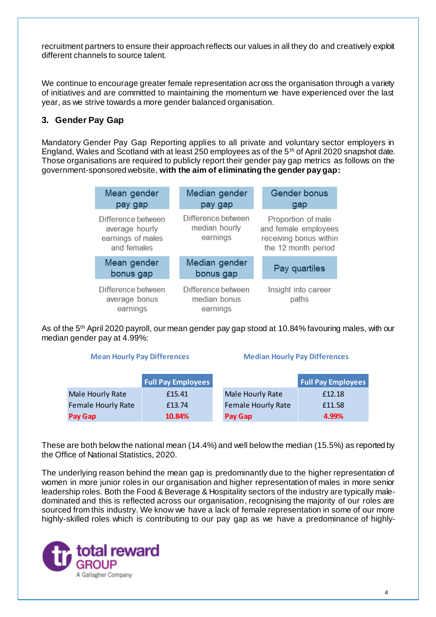recruitment partners to ensure their approach reflects our values in all they do and creatively exploit different channels to source talent.

We continue to encourage greater female representation across the organisation through a variety of initiatives and are committed to maintaining the momentum we have experienced over the last year, as we strive towards a more gender balanced organisation.

# <span id="page-3-0"></span>**3. Gender Pay Gap**

Mandatory Gender Pay Gap Reporting applies to all private and voluntary sector employers in England, Wales and Scotland with at least 250 employees as of the 5th of April 2020 snapshot date. Those organisations are required to publicly report their gender pay gap metrics as follows on the government-sponsored website, **with the aim of eliminating the gender pay gap:**

| Mean gender<br>pay gap                                                   | Median gender<br>pay gap                        | <b>Gender bonus</b><br>gap                                                                  |  |
|--------------------------------------------------------------------------|-------------------------------------------------|---------------------------------------------------------------------------------------------|--|
| Difference between<br>average hourly<br>earnings of males<br>and females | Difference between<br>median hourly<br>earnings | Proportion of male<br>and female employees<br>receiving bonus within<br>the 12 month period |  |
| Mean gender<br>bonus gap                                                 | Median gender<br>bonus gap                      | Pay quartiles                                                                               |  |
| Difference between<br>average bonus<br>earnings                          | Difference between<br>median bonus<br>earnings  | Insight into career<br>paths                                                                |  |

As of the 5<sup>th</sup> April 2020 payroll, our mean gender pay gap stood at 10.84% favouring males, with our median gender pay at 4.99%:

#### **Mean Hourly Pay Differences Median Hourly Pay Differences**

|                           | <b>Full Pay Employees</b> |                           | <b>Full Pay Employees</b> |
|---------------------------|---------------------------|---------------------------|---------------------------|
| <b>Male Hourly Rate</b>   | £15.41                    | Male Hourly Rate          | £12.18                    |
| <b>Female Hourly Rate</b> | £13.74                    | <b>Female Hourly Rate</b> | £11.58                    |
| Pay Gap                   | 10.84%                    | Pay Gap                   | 4.99%                     |

These are both below the national mean (14.4%) and well below the median (15.5%) as reported by the Office of National Statistics, 2020.

The underlying reason behind the mean gap is predominantly due to the higher representation of women in more junior roles in our organisation and higher representation of males in more senior leadership roles. Both the Food & Beverage & Hospitality sectors of the industry are typically maledominated and this is reflected across our organisation, recognising the majority of our roles are sourced from this industry. We know we have a lack of female representation in some of our more highly-skilled roles which is contributing to our pay gap as we have a predominance of highly-

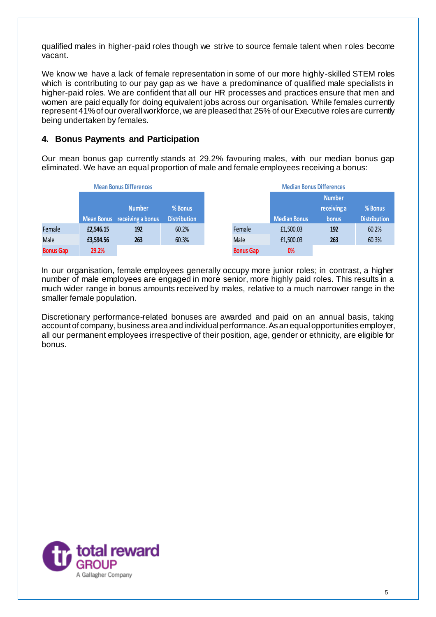qualified males in higher-paid roles though we strive to source female talent when roles become vacant.

We know we have a lack of female representation in some of our more highly-skilled STEM roles which is contributing to our pay gap as we have a predominance of qualified male specialists in higher-paid roles. We are confident that all our HR processes and practices ensure that men and women are paid equally for doing equivalent jobs across our organisation. While females currently represent 41% of our overall workforce, we are pleased that 25% of our Executive roles are currently being undertaken by females.

#### <span id="page-4-0"></span>**4. Bonus Payments and Participation**

Our mean bonus gap currently stands at 29.2% favouring males, with our median bonus gap eliminated. We have an equal proportion of male and female employees receiving a bonus:

|                  | <b>Mean Bonus Differences</b> |                              |                     |                  | <b>Median Bonus Differences</b> |               |                     |
|------------------|-------------------------------|------------------------------|---------------------|------------------|---------------------------------|---------------|---------------------|
|                  |                               |                              |                     |                  |                                 | <b>Number</b> |                     |
|                  |                               | <b>Number</b>                | % Bonus             |                  |                                 | receiving a   | % Bonus             |
|                  |                               | Mean Bonus receiving a bonus | <b>Distribution</b> |                  | <b>Median Bonus</b>             | <b>bonus</b>  | <b>Distribution</b> |
| Female           | £2,546.15                     | 192                          | 60.2%               | Female           | £1,500.03                       | 192           | 60.2%               |
| <b>Male</b>      | £3,594.56                     | 263                          | 60.3%               | Male             | £1,500.03                       | 263           | 60.3%               |
| <b>Bonus Gap</b> | 29.2%                         |                              |                     | <b>Bonus Gap</b> | 0%                              |               |                     |

In our organisation, female employees generally occupy more junior roles; in contrast, a higher number of male employees are engaged in more senior, more highly paid roles. This results in a much wider range in bonus amounts received by males, relative to a much narrower range in the smaller female population.

Discretionary performance-related bonuses are awarded and paid on an annual basis, taking account of company, business area and individual performance. As an equal opportunities employer, all our permanent employees irrespective of their position, age, gender or ethnicity, are eligible for bonus.

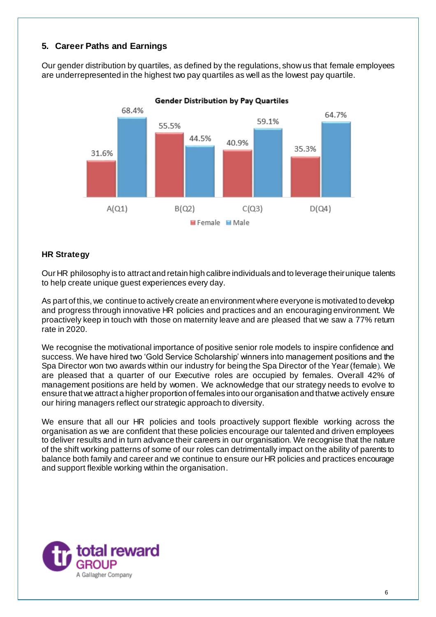# <span id="page-5-0"></span>**5. Career Paths and Earnings**

Our gender distribution by quartiles, as defined by the regulations, show us that female employees are underrepresented in the highest two pay quartiles as well as the lowest pay quartile.



**Gender Distribution by Pay Quartiles** 

#### **HR Strategy**

Our HR philosophy is to attract and retain high calibre individuals and to leverage their unique talents to help create unique guest experiences every day.

As part of this, we continue to actively create an environment where everyone is motivated to develop and progress through innovative HR policies and practices and an encouraging environment. We proactively keep in touch with those on maternity leave and are pleased that we saw a 77% return rate in 2020.

We recognise the motivational importance of positive senior role models to inspire confidence and success. We have hired two 'Gold Service Scholarship' winners into management positions and the Spa Director won two awards within our industry for being the Spa Director of the Year (female). We are pleased that a quarter of our Executive roles are occupied by females. Overall 42% of management positions are held by women. We acknowledge that our strategy needs to evolve to ensure that we attract a higher proportion of females into our organisation and that we actively ensure our hiring managers reflect our strategic approach to diversity.

We ensure that all our HR policies and tools proactively support flexible working across the organisation as we are confident that these policies encourage our talented and driven employees to deliver results and in turn advance their careers in our organisation. We recognise that the nature of the shift working patterns of some of our roles can detrimentally impact on the ability of parents to balance both family and career and we continue to ensure our HR policies and practices encourage and support flexible working within the organisation.

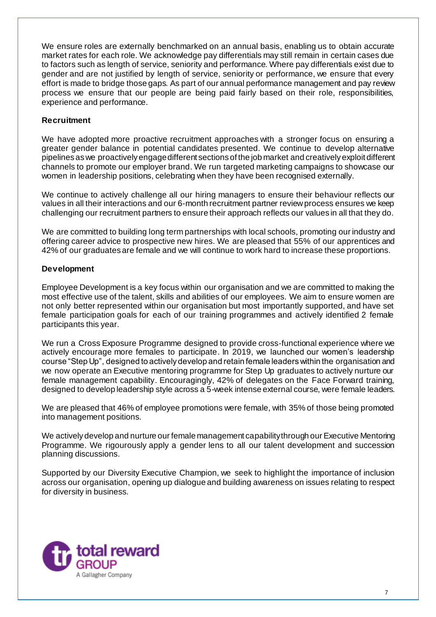We ensure roles are externally benchmarked on an annual basis, enabling us to obtain accurate market rates for each role. We acknowledge pay differentials may still remain in certain cases due to factors such as length of service, seniority and performance. Where pay differentials exist due to gender and are not justified by length of service, seniority or performance, we ensure that every effort is made to bridge those gaps. As part of our annual performance management and pay review process we ensure that our people are being paid fairly based on their role, responsibilities, experience and performance.

#### **Recruitment**

We have adopted more proactive recruitment approaches with a stronger focus on ensuring a greater gender balance in potential candidates presented. We continue to develop alternative pipelines as we proactively engage different sections of the job market and creatively exploit different channels to promote our employer brand. We run targeted marketing campaigns to showcase our women in leadership positions, celebrating when they have been recognised externally.

We continue to actively challenge all our hiring managers to ensure their behaviour reflects our values in all their interactions and our 6-month recruitment partner review process ensures we keep challenging our recruitment partners to ensure their approach reflects our values in all that they do.

We are committed to building long term partnerships with local schools, promoting our industry and offering career advice to prospective new hires. We are pleased that 55% of our apprentices and 42% of our graduates are female and we will continue to work hard to increase these proportions.

#### **Development**

Employee Development is a key focus within our organisation and we are committed to making the most effective use of the talent, skills and abilities of our employees. We aim to ensure women are not only better represented within our organisation but most importantly supported, and have set female participation goals for each of our training programmes and actively identified 2 female participants this year.

We run a Cross Exposure Programme designed to provide cross-functional experience where we actively encourage more females to participate. In 2019, we launched our women's leadership course "Step Up", designed to actively develop and retain female leaders within the organisation and we now operate an Executive mentoring programme for Step Up graduates to actively nurture our female management capability. Encouragingly, 42% of delegates on the Face Forward training, designed to develop leadership style across a 5-week intense external course, were female leaders.

We are pleased that 46% of employee promotions were female, with 35% of those being promoted into management positions.

We actively develop and nurture our female management capability through our Executive Mentoring Programme. We rigourously apply a gender lens to all our talent development and succession planning discussions.

Supported by our Diversity Executive Champion, we seek to highlight the importance of inclusion across our organisation, opening up dialogue and building awareness on issues relating to respect for diversity in business.

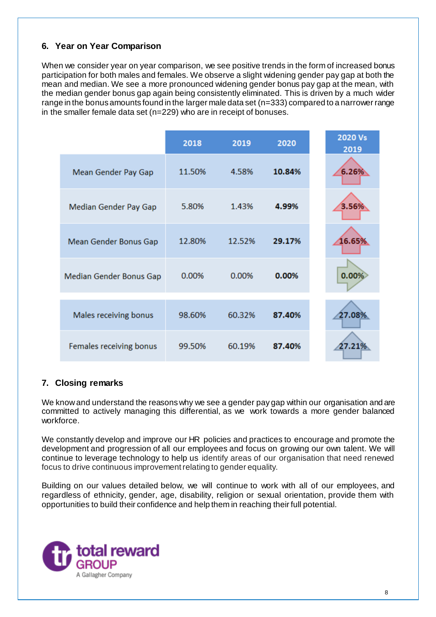# <span id="page-7-0"></span>**6. Year on Year Comparison**

When we consider year on year comparison, we see positive trends in the form of increased bonus participation for both males and females. We observe a slight widening gender pay gap at both the mean and median. We see a more pronounced widening gender bonus pay gap at the mean, with the median gender bonus gap again being consistently eliminated. This is driven by a much wider range in the bonus amounts found in the larger male data set (n=333) compared to a narrower range in the smaller female data set (n=229) who are in receipt of bonuses.

|                         | 2018   | 2019   | 2020   | 2020 Vs<br>2019 |
|-------------------------|--------|--------|--------|-----------------|
| Mean Gender Pay Gap     | 11.50% | 4.58%  | 10.84% | 6.26%           |
| Median Gender Pay Gap   | 5.80%  | 1.43%  | 4.99%  | 3.56%           |
| Mean Gender Bonus Gap   | 12.80% | 12.52% | 29.17% | 16.65%          |
| Median Gender Bonus Gap | 0.00%  | 0.00%  | 0.00%  | 0.00%           |
| Males receiving bonus   | 98.60% | 60.32% | 87.40% | 27.08%          |
|                         |        |        |        |                 |
| Females receiving bonus | 99.50% | 60.19% | 87.40% | 27.21%          |

# <span id="page-7-1"></span>**7. Closing remarks**

We know and understand the reasons why we see a gender pay gap within our organisation and are committed to actively managing this differential, as we work towards a more gender balanced workforce.

We constantly develop and improve our HR policies and practices to encourage and promote the development and progression of all our employees and focus on growing our own talent. We will continue to leverage technology to help us identify areas of our organisation that need renewed focus to drive continuous improvement relating to gender equality.

Building on our values detailed below, we will continue to work with all of our employees, and regardless of ethnicity, gender, age, disability, religion or sexual orientation, provide them with opportunities to build their confidence and help them in reaching their full potential.